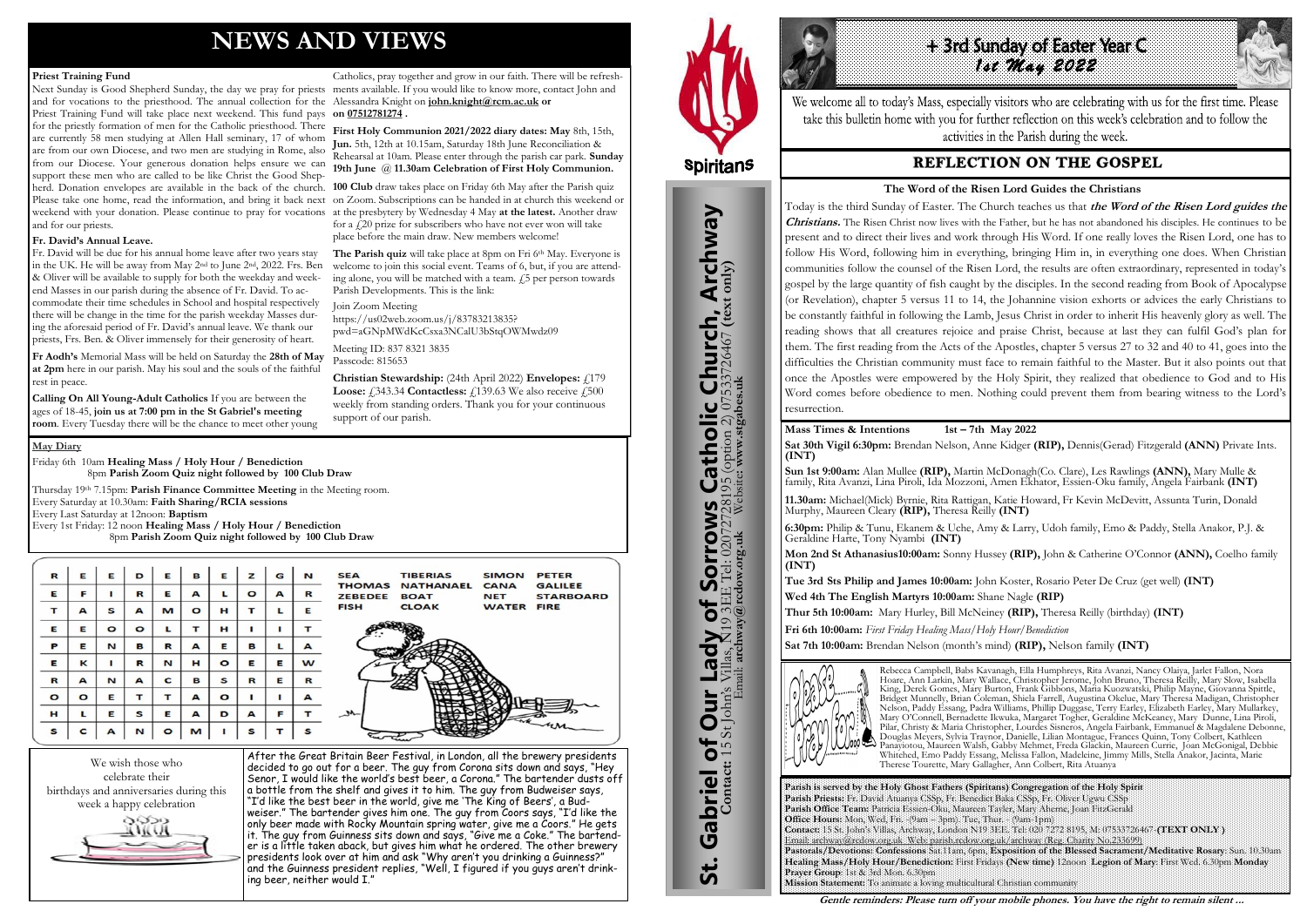### **NEWS AND VIEWS**

#### **Priest Training Fund**

Next Sunday is Good Shepherd Sunday, the day we pray for priests ments available. If you would like to know more, contact John and and for vocations to the priesthood. The annual collection for the Alessandra Knight on **[john.knight@rcm.ac.uk](mailto:john.knight@rcm.ac.uk) or**  Priest Training Fund will take place next weekend. This fund pays **on [07512781274](tel:+447512781274) .** for the priestly formation of men for the Catholic priesthood. There are currently 58 men studying at Allen Hall seminary, 17 of whom are from our own Diocese, and two men are studying in Rome, also from our Diocese. Your generous donation helps ensure we can support these men who are called to be like Christ the Good Shepherd. Donation envelopes are available in the back of the church. **100 Club** draw takes place on Friday 6th May after the Parish quiz Please take one home, read the information, and bring it back next on Zoom. Subscriptions can be handed in at church this weekend or weekend with your donation. Please continue to pray for vocations at the presbytery by Wednesday 4 May **at the latest.** Another draw and for our priests.

#### **Fr. David's Annual Leave.**

Fr. David will be due for his annual home leave after two years stay in the UK. He will be away from May 2nd to June 2nd, 2022. Frs. Ben & Oliver will be available to supply for both the weekday and weekend Masses in our parish during the absence of Fr. David. To accommodate their time schedules in School and hospital respectively there will be change in the time for the parish weekday Masses during the aforesaid period of Fr. David's annual leave. We thank our priests, Frs. Ben. & Oliver immensely for their generosity of heart.

**Fr Aodh's** Memorial Mass will be held on Saturday the **28th of May at 2pm** here in our parish. May his soul and the souls of the faithful rest in peace.

**Calling On All Young-Adult Catholics** If you are between the ages of 18-45, **join us at 7:00 pm in the St Gabriel's meeting room**. Every Tuesday there will be the chance to meet other young Catholics, pray together and grow in our faith. There will be refresh-

**First Holy Communion 2021/2022 diary dates: May** 8th, 15th, **Jun.** 5th, 12th at 10.15am, Saturday 18th June Reconciliation & Rehearsal at 10am. Please enter through the parish car park. **Sunday 19th June** @ **11.30am Celebration of First Holy Communion.**

for a  $\ell$  20 prize for subscribers who have not ever won will take

# + 3rd sunday of Easter Year C *1st May 2022*

We welcome all to today's Mass, especially visitors who are celebrating with us for the first time. Please take this bulletin home with you for further reflection on this week's celebration and to follow the activities in the Parish during the week.

### **REFLECTION ON THE GOSPEL**

place before the main draw. New members welcome!

Parish Developments. This is the link:

Join Zoom Meeting

https://us02web.zoom.us/j/83783213835?

pwd=aGNpMWdKcCsxa3NCalU3bStqOWMwdz09

Meeting ID: 837 8321 3835

Passcode: 815653

**Christian Stewardship:** (24th April 2022) **Envelopes:** £179 **Loose:** £343.34 **Contactless:** £139.63 We also receive £500 weekly from standing orders. Thank you for your continuous

**The Parish quiz** will take place at 8pm on Fri 6<sup>th</sup> May. Everyone is welcome to join this social event. Teams of 6, but, if you are attending alone, you will be matched with a team.  $\ddot{f}$  per person towards

support of our parish.

We wish those who celebrate their birthdays and anniversaries during this week a happy celebration

After the Great Britain Beer Festival, in London, all the brewery presidents decided to go out for a beer. The guy from Corona sits down and says, "Hey Senor, I would like the world's best beer, a Corona." The bartender dusts off a bottle from the shelf and gives it to him. The guy from Budweiser says, "I'd like the best beer in the world, give me 'The King of Beers', a Budweiser." The bartender gives him one. The guy from Coors says, "I'd like the only beer made with Rocky Mountain spring water, give me a Coors." He gets It. The guy from Guinness sits down and says, "Give me a Coke." The bartender is a little taken aback, but gives him what he ordered. The other brewery presidents look over at him and ask "Why aren't you drinking a Guinness?" and the Guinness president replies, "Well, I figured if you guys aren't drinking beer, neither would I."



St. Gabriel of Our Lady of Sorrows Catholic Church, Archway

Sorrows

Our Lady of

Gabriel of Our

<u>უ:</u>

**IS Catholic Church, Archway**<br>28195 (option 2) 07533726467 (text only)

#### **May Diary**

Friday 6th 10am **Healing Mass / Holy Hour / Benediction** 8pm **Parish Zoom Quiz night followed by 100 Club Draw**

Thursday 19th 7.15pm: **Parish Finance Committee Meeting** in the Meeting room. Every Saturday at 10.30am: **Faith Sharing/RCIA sessions** 

Every Last Saturday at 12noon: **Baptism** 

Every 1st Friday: 12 noon **Healing Mass / Holy Hour / Benediction** 8pm **Parish Zoom Quiz night followed by 100 Club Draw**

| R       | Е        | E         | D            | Е       | в       | E       | z            | G | N | <b>SEA</b><br><b>TIBERIAS</b>                                      | <b>SIMON</b>              | <b>PETER</b>                       |
|---------|----------|-----------|--------------|---------|---------|---------|--------------|---|---|--------------------------------------------------------------------|---------------------------|------------------------------------|
| Е       | F        |           | R            | Е       | A       | L       | $\circ$      | A | R | <b>THOMAS</b><br><b>NATHANAEL</b><br><b>ZEBEDEE</b><br><b>BOAT</b> | <b>CANA</b><br><b>NET</b> | <b>GALILEE</b><br><b>STARBOARD</b> |
| т       | A        | s         | $\mathbf{A}$ | M       | $\circ$ | н       |              |   | Е | <b>FISH</b><br><b>CLOAK</b>                                        | <b>WATER</b>              | <b>FIRE</b>                        |
| Е       | Е        | $\bullet$ | $\circ$      |         | т       | н       |              |   |   |                                                                    |                           |                                    |
| P       | Е        | N         | в            | R       | A       | Е       | в            |   |   |                                                                    |                           |                                    |
| Е       | $\kappa$ |           | R            | N       | н       | $\circ$ | Е            | Е | w |                                                                    |                           |                                    |
| R       | A        | N         | $\mathbf{A}$ | C       | в       | s       | R            | Е | R |                                                                    |                           |                                    |
| $\circ$ | $\circ$  | Е         |              |         | A       | $\circ$ |              |   | A |                                                                    |                           |                                    |
| н       |          | Е         | s            | Е       | A       | D       | $\mathbf{A}$ | F |   | M                                                                  | $\overline{\mathcal{M}}$  |                                    |
| S       | c        | А         | N            | $\circ$ | M       |         | s            |   |   |                                                                    |                           |                                    |

**Contact:** 15 St John's Villas, N19 3EE Tel: 02072728195 (option 2) 07533726467 **(text only)** Email: **archway@rcdow.org.uk** Website**: www.stgabes.uk**

1's Villas, N19 3EE Tel: 0207<br>Email: **archway@redow.org.uk** 

 $\mathbb{Z}$ 

**Mass Times & Intentions 1st – 7th May 2022 Sat 30th Vigil 6:30pm:** Brendan Nelson, Anne Kidger **(RIP),** Dennis(Gerad) Fitzgerald **(ANN)** Private Ints. **(INT)**

**Sun 1st 9:00am:** Alan Mullee **(RIP),** Martin McDonagh(Co. Clare), Les Rawlings **(ANN),** Mary Mulle & family, Rita Avanzi, Lina Piroli, Ida Mozzoni, Amen Ekhator, Essien-Oku family, Angela Fairbank **(INT)**

**11.30am:** Michael(Mick) Byrnie, Rita Rattigan, Katie Howard, Fr Kevin McDevitt, Assunta Turin, Donald Murphy, Maureen Cleary **(RIP),** Theresa Reilly **(INT)**

**6:30pm:** Philip & Tunu, Ekanem & Uche, Amy & Larry, Udoh family, Emo & Paddy, Stella Anakor, P.J. & Geraldine Harte, Tony Nyambi **(INT)**

**Mon 2nd St Athanasius10:00am:** Sonny Hussey **(RIP),** John & Catherine O'Connor **(ANN),** Coelho family **(INT)**

**Tue 3rd Sts Philip and James 10:00am:** John Koster, Rosario Peter De Cruz (get well) **(INT) Wed 4th The English Martyrs 10:00am:** Shane Nagle **(RIP) Thur 5th 10:00am:** Mary Hurley, Bill McNeiney **(RIP),** Theresa Reilly (birthday) **(INT)** 



**Fri 6th 10:00am:** *First Friday Healing Mass/Holy Hour/Benediction*

**Sat 7th 10:00am:** Brendan Nelson (month's mind) **(RIP),** Nelson family **(INT)**

| tans) Congregation of the Holy Spirit                                      |
|----------------------------------------------------------------------------|
| et Baka CSSp, Fr. Oliver Ugwu CSSp                                         |
| Tayler, Mary Aherne, Joan FitzGerald                                       |
| hur - (9am-1pm)                                                            |
| 3EE, Tel: 020 7272 8195, M: 07533726467-(TEXT ONLY)                        |
| rg.uk/archway (Reg. Charity No.233699).                                    |
| <b>Exposition of the Blessed Sacrament/Meditative Rosary:</b> Sun. 10.30am |
| days (New time) 12noon Legion of Mary: First Wed. 6.30pm Monday            |
| al Christian community                                                     |

Rebecca Campbell, Babs Kavanagh, Ella Humphreys, Rita Avanzi, Nancy Olaiya, Jarlet Fallon, Nora Hoare, Ann Larkin, Mary Wallace, Christopher Jerome, John Bruno, Theresa Reilly, Mary Slow, Isabella King, Derek Gomes, Mary Burton, Frank Gibbons, Maria Kuozwatski, Philip Mayne, Giovanna Spittle, Bridget Munnelly, Brian Coleman, Shiela Farrell, Augustina Okelue, Mary Theresa Madigan, Christopher Nelson, Paddy Essang, Padra Williams, Phillip Duggase, Terry Earley, Elizabeth Earley, Mary Mullarkey, Mary O'Connell, Bernadette Ikwuka, Margaret Togher, Geraldine McKeaney, Mary Dunne, Lina Piroli, Pilar, Christy & Maria Christopher, Lourdes Sisneros, Angela Fairbank, Emmanuel & Magdalene Debonne, Douglas Meyers, Sylvia Traynor, Danielle, Lilian Montague, Frances Quinn, Tony Colbert, Kathleen Panayiotou, Maureen Walsh, Gabby Mehmet, Freda Glackin, Maureen Currie, Joan McGonigal, Debbie Whitehed, Emo Paddy Essang, Melissa Fallon, Madeleine, Jimmy Mills, Stella Anakor, Jacinta, Marie Therese Tourette, Mary Gallagher, Ann Colbert, Rita Atuanya

Parish is served by the Holy Ghost Fathers (Spiri Parish Priests: Fr. David Atuanya CSSp, Fr. Benedic Parish Office Team: Patricia Essien-Oku, Maureen **Office Hours:** Mon, Wed, Fri. -(9am - 3pm). Tue, **Contact:** 15 St. John's Villas, Archway, London N19 Email: archway@rcdow.org.uk/ Web: parish.rcdow.o **Pastorals/Devotions: Confessions** Sat.11am, 6pm **Healing Mass/Holy Hour/Benediction: First Fr Prayer Group**: 1st & 3rd Mon. 6.30pm **Mission Statement:** To animate a loving multicultu

**Gentle reminders: Please turn off your mobile phones. You have the right to remain silent ...** 

### **The Word of the Risen Lord Guides the Christians**

Today is the third Sunday of Easter. The Church teaches us that **the Word of the Risen Lord guides the Christians.** The Risen Christ now lives with the Father, but he has not abandoned his disciples. He continues to be present and to direct their lives and work through His Word. If one really loves the Risen Lord, one has to follow His Word, following him in everything, bringing Him in, in everything one does. When Christian communities follow the counsel of the Risen Lord, the results are often extraordinary, represented in today's gospel by the large quantity of fish caught by the disciples. In the second reading from Book of Apocalypse (or Revelation), chapter 5 versus 11 to 14, the Johannine vision exhorts or advices the early Christians to be constantly faithful in following the Lamb, Jesus Christ in order to inherit His heavenly glory as well. The reading shows that all creatures rejoice and praise Christ, because at last they can fulfil God's plan for them. The first reading from the Acts of the Apostles, chapter 5 versus 27 to 32 and 40 to 41, goes into the difficulties the Christian community must face to remain faithful to the Master. But it also points out that once the Apostles were empowered by the Holy Spirit, they realized that obedience to God and to His Word comes before obedience to men. Nothing could prevent them from bearing witness to the Lord's resurrection.